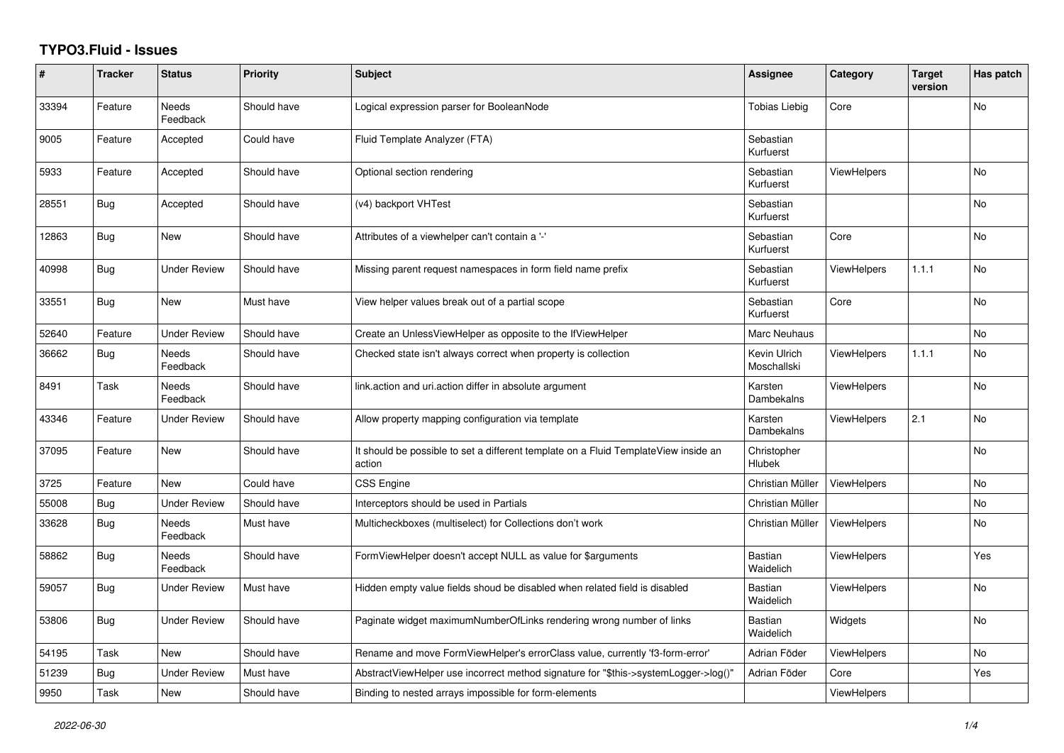## **TYPO3.Fluid - Issues**

| #     | <b>Tracker</b> | <b>Status</b>            | Priority    | <b>Subject</b>                                                                                | <b>Assignee</b>             | Category           | <b>Target</b><br>version | Has patch      |
|-------|----------------|--------------------------|-------------|-----------------------------------------------------------------------------------------------|-----------------------------|--------------------|--------------------------|----------------|
| 33394 | Feature        | Needs<br>Feedback        | Should have | Logical expression parser for BooleanNode                                                     | <b>Tobias Liebig</b>        | Core               |                          | No             |
| 9005  | Feature        | Accepted                 | Could have  | Fluid Template Analyzer (FTA)                                                                 | Sebastian<br>Kurfuerst      |                    |                          |                |
| 5933  | Feature        | Accepted                 | Should have | Optional section rendering                                                                    | Sebastian<br>Kurfuerst      | ViewHelpers        |                          | <b>No</b>      |
| 28551 | Bug            | Accepted                 | Should have | (v4) backport VHTest                                                                          | Sebastian<br>Kurfuerst      |                    |                          | No             |
| 12863 | Bug            | <b>New</b>               | Should have | Attributes of a viewhelper can't contain a '-'                                                | Sebastian<br>Kurfuerst      | Core               |                          | No.            |
| 40998 | Bug            | <b>Under Review</b>      | Should have | Missing parent request namespaces in form field name prefix                                   | Sebastian<br>Kurfuerst      | ViewHelpers        | 1.1.1                    | <b>No</b>      |
| 33551 | <b>Bug</b>     | New                      | Must have   | View helper values break out of a partial scope                                               | Sebastian<br>Kurfuerst      | Core               |                          | <b>No</b>      |
| 52640 | Feature        | <b>Under Review</b>      | Should have | Create an UnlessViewHelper as opposite to the IfViewHelper                                    | Marc Neuhaus                |                    |                          | No             |
| 36662 | Bug            | <b>Needs</b><br>Feedback | Should have | Checked state isn't always correct when property is collection                                | Kevin Ulrich<br>Moschallski | <b>ViewHelpers</b> | 1.1.1                    | <b>No</b>      |
| 8491  | Task           | Needs<br>Feedback        | Should have | link.action and uri.action differ in absolute argument                                        | Karsten<br>Dambekalns       | <b>ViewHelpers</b> |                          | No             |
| 43346 | Feature        | <b>Under Review</b>      | Should have | Allow property mapping configuration via template                                             | Karsten<br>Dambekalns       | ViewHelpers        | 2.1                      | No             |
| 37095 | Feature        | <b>New</b>               | Should have | It should be possible to set a different template on a Fluid TemplateView inside an<br>action | Christopher<br>Hlubek       |                    |                          | <b>No</b>      |
| 3725  | Feature        | <b>New</b>               | Could have  | <b>CSS Engine</b>                                                                             | Christian Müller            | ViewHelpers        |                          | <b>No</b>      |
| 55008 | Bug            | <b>Under Review</b>      | Should have | Interceptors should be used in Partials                                                       | Christian Müller            |                    |                          | No             |
| 33628 | Bug            | <b>Needs</b><br>Feedback | Must have   | Multicheckboxes (multiselect) for Collections don't work                                      | Christian Müller            | ViewHelpers        |                          | <b>No</b>      |
| 58862 | Bug            | Needs<br>Feedback        | Should have | FormViewHelper doesn't accept NULL as value for \$arguments                                   | Bastian<br>Waidelich        | <b>ViewHelpers</b> |                          | Yes            |
| 59057 | <b>Bug</b>     | <b>Under Review</b>      | Must have   | Hidden empty value fields shoud be disabled when related field is disabled                    | Bastian<br>Waidelich        | <b>ViewHelpers</b> |                          | No             |
| 53806 | <b>Bug</b>     | <b>Under Review</b>      | Should have | Paginate widget maximumNumberOfLinks rendering wrong number of links                          | Bastian<br>Waidelich        | Widgets            |                          | <b>No</b>      |
| 54195 | Task           | <b>New</b>               | Should have | Rename and move FormViewHelper's errorClass value, currently 'f3-form-error'                  | Adrian Föder                | ViewHelpers        |                          | N <sub>o</sub> |
| 51239 | Bug            | <b>Under Review</b>      | Must have   | AbstractViewHelper use incorrect method signature for "\$this->systemLogger->log()"           | Adrian Föder                | Core               |                          | Yes            |
| 9950  | Task           | <b>New</b>               | Should have | Binding to nested arrays impossible for form-elements                                         |                             | ViewHelpers        |                          |                |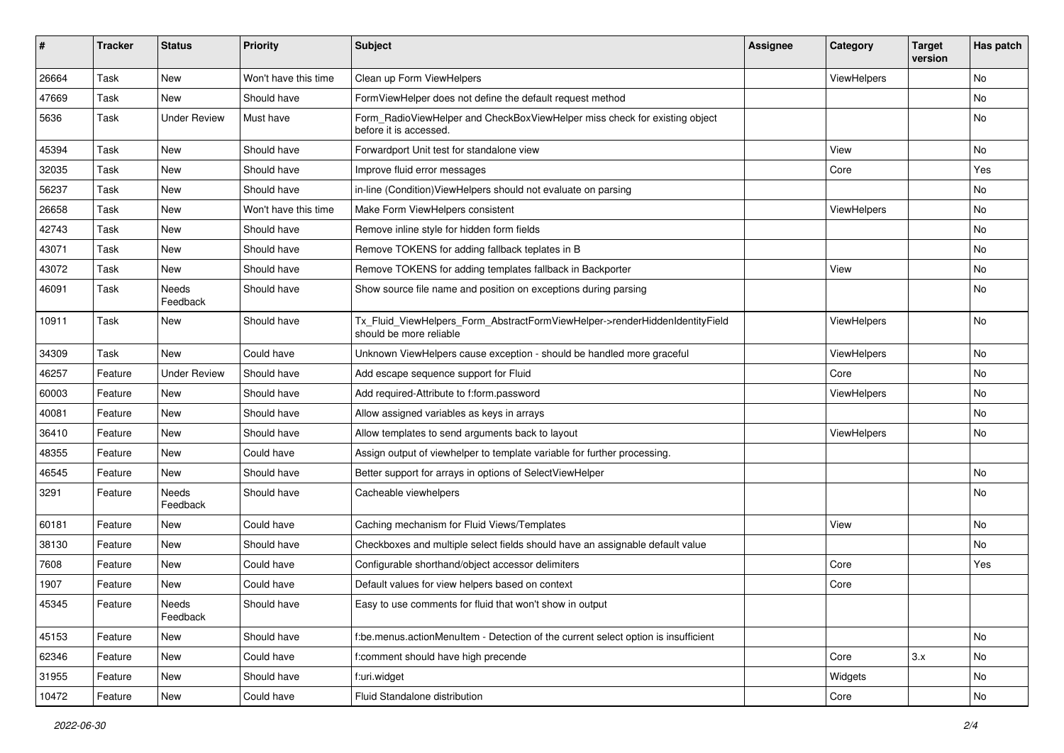| #     | <b>Tracker</b> | <b>Status</b>       | <b>Priority</b>      | Subject                                                                                                | <b>Assignee</b> | Category           | <b>Target</b><br>version | Has patch |
|-------|----------------|---------------------|----------------------|--------------------------------------------------------------------------------------------------------|-----------------|--------------------|--------------------------|-----------|
| 26664 | Task           | New                 | Won't have this time | Clean up Form ViewHelpers                                                                              |                 | ViewHelpers        |                          | <b>No</b> |
| 47669 | Task           | New                 | Should have          | FormViewHelper does not define the default request method                                              |                 |                    |                          | No        |
| 5636  | Task           | <b>Under Review</b> | Must have            | Form RadioViewHelper and CheckBoxViewHelper miss check for existing object<br>before it is accessed.   |                 |                    |                          | No        |
| 45394 | Task           | New                 | Should have          | Forwardport Unit test for standalone view                                                              |                 | View               |                          | No        |
| 32035 | Task           | New                 | Should have          | Improve fluid error messages                                                                           |                 | Core               |                          | Yes       |
| 56237 | Task           | New                 | Should have          | in-line (Condition) View Helpers should not evaluate on parsing                                        |                 |                    |                          | No        |
| 26658 | Task           | New                 | Won't have this time | Make Form ViewHelpers consistent                                                                       |                 | ViewHelpers        |                          | No        |
| 42743 | Task           | New                 | Should have          | Remove inline style for hidden form fields                                                             |                 |                    |                          | No        |
| 43071 | Task           | New                 | Should have          | Remove TOKENS for adding fallback teplates in B                                                        |                 |                    |                          | No        |
| 43072 | Task           | New                 | Should have          | Remove TOKENS for adding templates fallback in Backporter                                              |                 | View               |                          | No        |
| 46091 | Task           | Needs<br>Feedback   | Should have          | Show source file name and position on exceptions during parsing                                        |                 |                    |                          | No        |
| 10911 | Task           | New                 | Should have          | Tx_Fluid_ViewHelpers_Form_AbstractFormViewHelper->renderHiddenIdentityField<br>should be more reliable |                 | ViewHelpers        |                          | No        |
| 34309 | Task           | New                 | Could have           | Unknown ViewHelpers cause exception - should be handled more graceful                                  |                 | ViewHelpers        |                          | No        |
| 46257 | Feature        | <b>Under Review</b> | Should have          | Add escape sequence support for Fluid                                                                  |                 | Core               |                          | No        |
| 60003 | Feature        | New                 | Should have          | Add required-Attribute to f:form.password                                                              |                 | <b>ViewHelpers</b> |                          | No        |
| 40081 | Feature        | New                 | Should have          | Allow assigned variables as keys in arrays                                                             |                 |                    |                          | No        |
| 36410 | Feature        | New                 | Should have          | Allow templates to send arguments back to layout                                                       |                 | ViewHelpers        |                          | No        |
| 48355 | Feature        | New                 | Could have           | Assign output of viewhelper to template variable for further processing.                               |                 |                    |                          |           |
| 46545 | Feature        | New                 | Should have          | Better support for arrays in options of SelectViewHelper                                               |                 |                    |                          | No        |
| 3291  | Feature        | Needs<br>Feedback   | Should have          | Cacheable viewhelpers                                                                                  |                 |                    |                          | No        |
| 60181 | Feature        | New                 | Could have           | Caching mechanism for Fluid Views/Templates                                                            |                 | View               |                          | <b>No</b> |
| 38130 | Feature        | New                 | Should have          | Checkboxes and multiple select fields should have an assignable default value                          |                 |                    |                          | No        |
| 7608  | Feature        | New                 | Could have           | Configurable shorthand/object accessor delimiters                                                      |                 | Core               |                          | Yes       |
| 1907  | Feature        | New                 | Could have           | Default values for view helpers based on context                                                       |                 | Core               |                          |           |
| 45345 | Feature        | Needs<br>Feedback   | Should have          | Easy to use comments for fluid that won't show in output                                               |                 |                    |                          |           |
| 45153 | Feature        | New                 | Should have          | f:be.menus.actionMenuItem - Detection of the current select option is insufficient                     |                 |                    |                          | No        |
| 62346 | Feature        | New                 | Could have           | f:comment should have high precende                                                                    |                 | Core               | 3.x                      | No        |
| 31955 | Feature        | New                 | Should have          | f:uri.widget                                                                                           |                 | Widgets            |                          | No        |
| 10472 | Feature        | New                 | Could have           | Fluid Standalone distribution                                                                          |                 | Core               |                          | No        |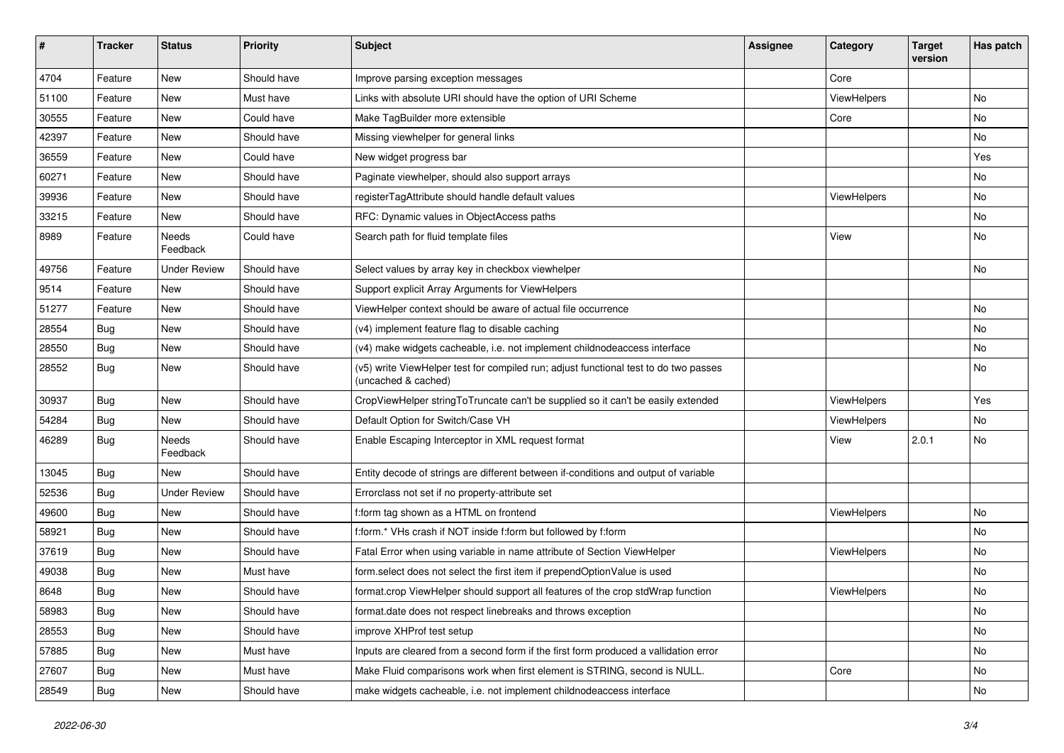| $\sharp$ | <b>Tracker</b> | <b>Status</b>       | <b>Priority</b> | Subject                                                                                                     | <b>Assignee</b> | Category    | <b>Target</b><br>version | Has patch |
|----------|----------------|---------------------|-----------------|-------------------------------------------------------------------------------------------------------------|-----------------|-------------|--------------------------|-----------|
| 4704     | Feature        | New                 | Should have     | Improve parsing exception messages                                                                          |                 | Core        |                          |           |
| 51100    | Feature        | New                 | Must have       | Links with absolute URI should have the option of URI Scheme                                                |                 | ViewHelpers |                          | No        |
| 30555    | Feature        | New                 | Could have      | Make TagBuilder more extensible                                                                             |                 | Core        |                          | No        |
| 42397    | Feature        | New                 | Should have     | Missing viewhelper for general links                                                                        |                 |             |                          | <b>No</b> |
| 36559    | Feature        | New                 | Could have      | New widget progress bar                                                                                     |                 |             |                          | Yes       |
| 60271    | Feature        | <b>New</b>          | Should have     | Paginate viewhelper, should also support arrays                                                             |                 |             |                          | No        |
| 39936    | Feature        | New                 | Should have     | registerTagAttribute should handle default values                                                           |                 | ViewHelpers |                          | No        |
| 33215    | Feature        | New                 | Should have     | RFC: Dynamic values in ObjectAccess paths                                                                   |                 |             |                          | No        |
| 8989     | Feature        | Needs<br>Feedback   | Could have      | Search path for fluid template files                                                                        |                 | View        |                          | No        |
| 49756    | Feature        | <b>Under Review</b> | Should have     | Select values by array key in checkbox viewhelper                                                           |                 |             |                          | No        |
| 9514     | Feature        | New                 | Should have     | Support explicit Array Arguments for ViewHelpers                                                            |                 |             |                          |           |
| 51277    | Feature        | New                 | Should have     | ViewHelper context should be aware of actual file occurrence                                                |                 |             |                          | No        |
| 28554    | Bug            | New                 | Should have     | (v4) implement feature flag to disable caching                                                              |                 |             |                          | No        |
| 28550    | Bug            | New                 | Should have     | (v4) make widgets cacheable, i.e. not implement childnodeaccess interface                                   |                 |             |                          | No        |
| 28552    | Bug            | New                 | Should have     | (v5) write ViewHelper test for compiled run; adjust functional test to do two passes<br>(uncached & cached) |                 |             |                          | No        |
| 30937    | Bug            | New                 | Should have     | CropViewHelper stringToTruncate can't be supplied so it can't be easily extended                            |                 | ViewHelpers |                          | Yes       |
| 54284    | Bug            | New                 | Should have     | Default Option for Switch/Case VH                                                                           |                 | ViewHelpers |                          | No        |
| 46289    | Bug            | Needs<br>Feedback   | Should have     | Enable Escaping Interceptor in XML request format                                                           |                 | View        | 2.0.1                    | No        |
| 13045    | Bug            | New                 | Should have     | Entity decode of strings are different between if-conditions and output of variable                         |                 |             |                          |           |
| 52536    | Bug            | <b>Under Review</b> | Should have     | Errorclass not set if no property-attribute set                                                             |                 |             |                          |           |
| 49600    | Bug            | New                 | Should have     | f:form tag shown as a HTML on frontend                                                                      |                 | ViewHelpers |                          | No        |
| 58921    | Bug            | New                 | Should have     | f:form.* VHs crash if NOT inside f:form but followed by f:form                                              |                 |             |                          | No        |
| 37619    | Bug            | New                 | Should have     | Fatal Error when using variable in name attribute of Section ViewHelper                                     |                 | ViewHelpers |                          | No        |
| 49038    | Bug            | New                 | Must have       | form.select does not select the first item if prependOptionValue is used                                    |                 |             |                          | <b>No</b> |
| 8648     | Bug            | New                 | Should have     | format.crop ViewHelper should support all features of the crop stdWrap function                             |                 | ViewHelpers |                          | No        |
| 58983    | <b>Bug</b>     | New                 | Should have     | format.date does not respect linebreaks and throws exception                                                |                 |             |                          | No        |
| 28553    | Bug            | New                 | Should have     | improve XHProf test setup                                                                                   |                 |             |                          | No        |
| 57885    | Bug            | New                 | Must have       | Inputs are cleared from a second form if the first form produced a vallidation error                        |                 |             |                          | No        |
| 27607    | Bug            | New                 | Must have       | Make Fluid comparisons work when first element is STRING, second is NULL.                                   |                 | Core        |                          | No        |
| 28549    | <b>Bug</b>     | New                 | Should have     | make widgets cacheable, i.e. not implement childnodeaccess interface                                        |                 |             |                          | No        |